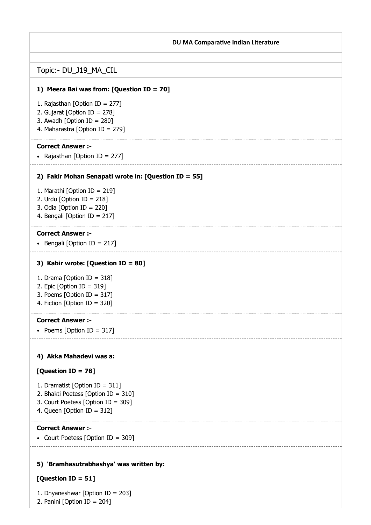### DU MA Comparative Indian Literature

# 1) Meera Bai was from: [Question ID = 70] 2) Fakir Mohan Senapati wrote in: [Question ID = 55] 3) Kabir wrote: [Question ID = 80] 4) Akka Mahadevi was a: 5) 'Bramhasutrabhashya' was written by: Topic:- DU\_J19\_MA\_CIL 1. Rajasthan [Option ID = 277] 2. Gujarat [Option ID = 278] 3. Awadh [Option ID = 280] 4. Maharastra [Option ID = 279] Correct Answer :- • Rajasthan [Option ID = 277] 1. Marathi [Option ID = 219] 2. Urdu [Option ID =  $218$ ] 3. Odia [Option ID = 220] 4. Bengali [Option ID = 217] Correct Answer :-  $\bullet$  Bengali [Option ID = 217] 1. Drama [Option ID = 318] 2. Epic [Option ID = 319] 3. Poems [Option ID = 317] 4. Fiction [Option ID = 320] Correct Answer :- • Poems [Option ID =  $317$ ] [Question ID = 78] 1. Dramatist [Option ID = 311] 2. Bhakti Poetess [Option ID = 310] 3. Court Poetess [Option ID = 309] 4. Queen [Option ID = 312] Correct Answer :- • Court Poetess [Option ID = 309]

# [Question ID = 51]

1. Dnyaneshwar [Option ID = 203]

2. Panini [Option ID = 204]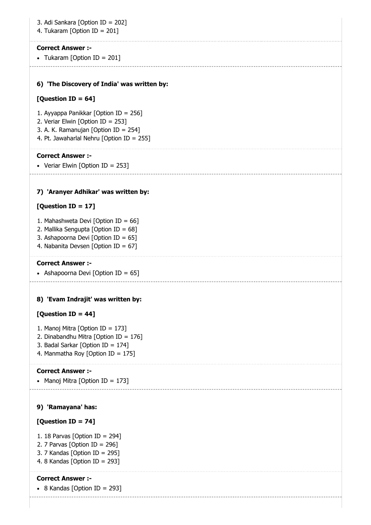# 3. Adi Sankara [Option ID = 202]

4. Tukaram [Option ID = 201]

### Correct Answer :-

• Tukaram [Option ID = 201]

#### 6) 'The Discovery of India' was written by:

# [Question ID = 64]

- 1. Ayyappa Panikkar [Option ID = 256]
- 2. Veriar Elwin [Option ID = 253]
- 3. A. K. Ramanujan [Option ID = 254]
- 4. Pt. Jawaharlal Nehru [Option ID = 255]

### Correct Answer :-

• Veriar Elwin [Option ID = 253]

### 7) 'Aranyer Adhikar' was written by:

# [Question ID = 17]

- 1. Mahashweta Devi [Option ID =  $66$ ]
- 2. Mallika Sengupta [Option ID = 68]
- 3. Ashapoorna Devi [Option ID = 65]
- 4. Nabanita Devsen [Option ID = 67]

# Correct Answer :-

```
• Ashapoorna Devi [Option ID = 65]
```
#### 8) 'Evam Indrajit' was written by:

# [Question ID = 44]

- 1. Manoj Mitra [Option ID = 173]
- 2. Dinabandhu Mitra [Option ID = 176]
- 3. Badal Sarkar [Option ID = 174]
- 4. Manmatha Roy [Option ID = 175]

#### Correct Answer :-

```
• Manoj Mitra [Option ID = 173]
```
#### 9) 'Ramayana' has:

# [Question ID = 74]

- 1. 18 Parvas [Option ID = 294]
- 2. 7 Parvas [Option ID =  $296$ ]
- 3. 7 Kandas [Option ID = 295]
- 4. 8 Kandas [Option ID = 293]

#### Correct Answer :-

- $\bullet$  8 Kandas [Option ID = 293]
	-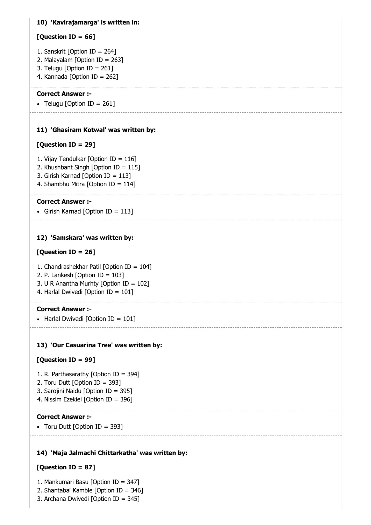# 10) 'Kavirajamarga' is written in:

# [Question ID = 66]

- 1. Sanskrit [Option ID = 264]
- 2. Malayalam [Option ID = 263]
- 3. Telugu [Option ID = 261]
- 4. Kannada [Option ID = 262]

# Correct Answer :-

• Telugu [Option ID = 261]

# 11) 'Ghasiram Kotwal' was written by:

# [Question ID = 29]

- 1. Vijay Tendulkar [Option ID = 116]
- 2. Khushbant Singh [Option ID = 115]
- 3. Girish Karnad [Option ID = 113]
- 4. Shambhu Mitra [Option ID = 114]

# Correct Answer :-

• Girish Karnad [Option ID = 113]

# 12) 'Samskara' was written by:

# [Question ID = 26]

- 1. Chandrashekhar Patil [Option ID = 104]
- 2. P. Lankesh [Option ID = 103]
- 3. U R Anantha Murhty [Option ID = 102]
- 4. Harlal Dwivedi [Option ID = 101]

# Correct Answer :-

• Harlal Dwivedi [Option ID =  $101$ ]

# 13) 'Our Casuarina Tree' was written by:

# [Question ID = 99]

- 1. R. Parthasarathy [Option ID = 394]
- 2. Toru Dutt [Option ID = 393]
- 3. Sarojini Naidu [Option ID = 395]
- 4. Nissim Ezekiel [Option ID = 396]

# Correct Answer :-

• Toru Dutt [Option ID = 393]

# 14) 'Maja Jalmachi Chittarkatha' was written by:

# [Question ID = 87]

- 1. Mankumari Basu [Option ID = 347]
- 2. Shantabai Kamble [Option ID = 346]
- 3. Archana Dwivedi [Option ID = 345]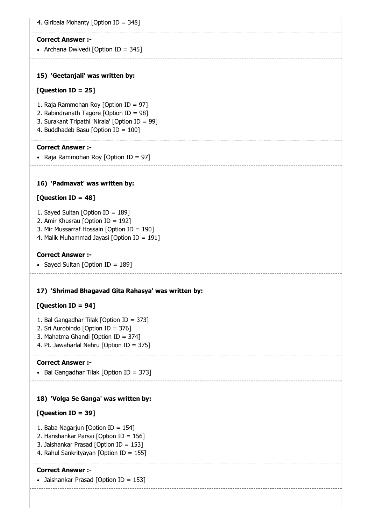| 4. Giribala Mohanty [Option ID = 348]               |
|-----------------------------------------------------|
| <b>Correct Answer :-</b>                            |
| • Archana Dwivedi [Option ID = 345]                 |
|                                                     |
| 15) 'Geetanjali' was written by:                    |
| [Question ID = 25]                                  |
| 1. Raja Rammohan Roy [Option ID = 97]               |
| 2. Rabindranath Tagore [Option ID = 98]             |
| 3. Surakant Tripathi 'Nirala' [Option ID = 99]      |
| 4. Buddhadeb Basu [Option ID = 100]                 |
| <b>Correct Answer :-</b>                            |
| • Raja Rammohan Roy [Option ID = 97]                |
|                                                     |
| 16) 'Padmavat' was written by:                      |
| [Question ID = $48$ ]                               |
| 1. Sayed Sultan [Option ID = 189]                   |
| 2. Amir Khusrau [Option ID = 192]                   |
| 3. Mir Mussarraf Hossain [Option ID = 190]          |
| 4. Malik Muhammad Jayasi [Option ID = 191]          |
| <b>Correct Answer :-</b>                            |
| • Sayed Sultan [Option ID = 189]                    |
|                                                     |
|                                                     |
| 17) 'Shrimad Bhagavad Gita Rahasya' was written by: |
| [Question ID = 94]                                  |
| 1. Bal Gangadhar Tilak [Option ID = 373]            |
| 2. Sri Aurobindo [Option ID = 376]                  |
| 3. Mahatma Ghandi [Option ID = 374]                 |

 $\bullet$  Bal Gangadhar Tilak [Option ID = 373]

4. Pt. Jawaharlal Nehru [Option ID = 375]

# 18) 'Volga Se Ganga' was written by:

# [Question ID = 39]

- 1. Baba Nagarjun [Option ID = 154]
- 2. Harishankar Parsai [Option ID = 156]
- 3. Jaishankar Prasad [Option ID = 153]
- 4. Rahul Sankrityayan [Option ID = 155]

# Correct Answer :-

• Jaishankar Prasad [Option ID = 153]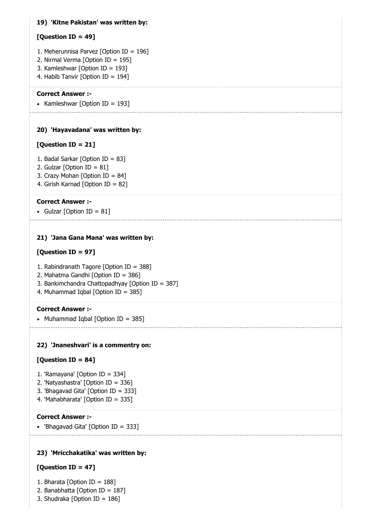# 19) 'Kitne Pakistan' was written by:

# [Question ID = 49]

- 1. Meherunnisa Parvez [Option ID = 196]
- 2. Nirmal Verma [Option ID = 195]
- 3. Kamleshwar [Option ID = 193]
- 4. Habib Tanvir [Option ID = 194]

# Correct Answer :-

• Kamleshwar [Option ID = 193]

# 20) 'Hayavadana' was written by:

# [Question ID = 21]

- 1. Badal Sarkar [Option ID = 83]
- 2. Gulzar [Option ID =  $81$ ]
- 3. Crazy Mohan [Option ID = 84]
- 4. Girish Karnad [Option ID = 82]

# Correct Answer :-

• Gulzar [Option ID =  $81$ ]

# 21) 'Jana Gana Mana' was written by:

# [Question ID = 97]

- 1. Rabindranath Tagore [Option ID = 388]
- 2. Mahatma Gandhi [Option ID = 386]
- 3. Bankimchandra Chattopadhyay [Option ID = 387]
- 4. Muhammad Iqbal [Option ID = 385]

# Correct Answer :-

• Muhammad Iqbal [Option ID = 385]

# 22) 'Jnaneshvari' is a commentry on:

# [Question ID = 84]

- 1. 'Ramayana' [Option ID = 334]
- 2. 'Natyashastra' [Option ID = 336]
- 3. 'Bhagavad Gita' [Option ID = 333]
- 4. 'Mahabharata' [Option ID = 335]

# Correct Answer :-

'Bhagavad Gita' [Option ID = 333]

# 23) 'Mricchakatika' was written by:

# [Question ID = 47]

- 1. Bharata [Option ID = 188]
- 2. Banabhatta [Option ID = 187]
- 3. Shudraka [Option ID = 186]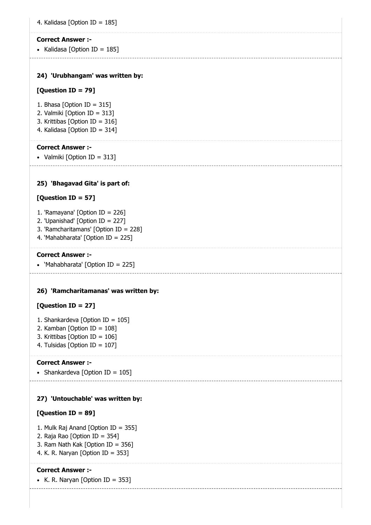• Kalidasa [Option ID =  $185$ ]

# 24) 'Urubhangam' was written by:

# [Question ID = 79]

- 1. Bhasa [Option ID = 315]
- 2. Valmiki [Option ID = 313]
- 3. Krittibas [Option ID = 316]
- 4. Kalidasa [Option ID = 314]

# Correct Answer :-

• Valmiki [Option ID = 313]

# 25) 'Bhagavad Gita' is part of:

# [Question ID = 57]

- 1. 'Ramayana' [Option ID = 226]
- 2. 'Upanishad' [Option ID = 227]
- 3. 'Ramcharitamans' [Option ID = 228]
- 4. 'Mahabharata' [Option ID = 225]

### Correct Answer :-

'Mahabharata' [Option ID = 225]

# 26) 'Ramcharitamanas' was written by:

# [Question ID = 27]

- 1. Shankardeva [Option ID = 105]
- 2. Kamban [Option ID = 108]
- 3. Krittibas [Option ID = 106]
- 4. Tulsidas [Option ID = 107]

#### Correct Answer :-

• Shankardeva  $\sim$  IOption ID = 1051

# 27) 'Untouchable' was written by:

# [Question ID = 89]

- 1. Mulk Raj Anand [Option ID = 355]
- 2. Raja Rao [Option ID = 354]
- 3. Ram Nath Kak [Option ID = 356]
- 4. K. R. Naryan [Option ID = 353]

# Correct Answer :-

• K. R. Naryan [Option ID = 353]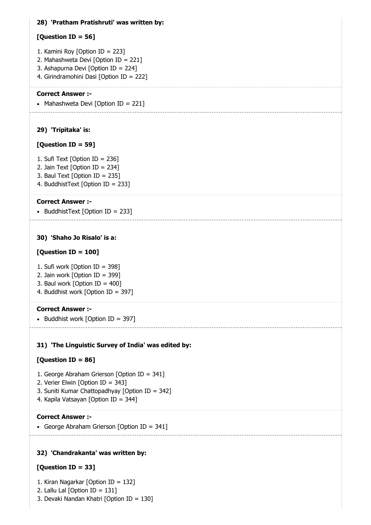# 28) 'Pratham Pratishruti' was written by:

# [Question ID = 56]

- 1. Kamini Roy [Option ID = 223]
- 2. Mahashweta Devi [Option ID = 221]
- 3. Ashapurna Devi [Option ID = 224]
- 4. Girindramohini Dasi [Option ID = 222]

# Correct Answer :-

• Mahashweta Devi [Option ID = 221]

# 29) 'Tripitaka' is:

# [Question ID = 59]

- 1. Sufi Text [Option ID = 236]
- 2. Jain Text [Option ID = 234]
- 3. Baul Text [Option ID = 235]
- 4. BuddhistText [Option ID = 233]

# Correct Answer :-

• BuddhistText  $[Option ID = 233]$ 

# 30) 'Shaho Jo Risalo' is a:

# [Question ID = 100]

- 1. Sufi work [Option ID = 398]
- 2. Jain work [Option ID = 399]
- 3. Baul work  $[Option ID = 400]$
- 4. Buddhist work [Option ID = 397]

# Correct Answer :-

- Buddhist work  $[Option ID = 397]$ 

# 31) 'The Linguistic Survey of India' was edited by:

# [Question ID = 86]

- 1. George Abraham Grierson [Option ID = 341]
- 2. Verier Elwin [Option ID = 343]
- 3. Suniti Kumar Chattopadhyay [Option ID = 342]
- 4. Kapila Vatsayan [Option ID = 344]

# Correct Answer :-

• George Abraham Grierson [Option ID = 341]

# 32) 'Chandrakanta' was written by:

# [Question ID = 33]

1. Kiran Nagarkar [Option ID = 132]

- 2. Lallu Lal [Option ID = 131]
- 3. Devaki Nandan Khatri [Option ID = 130]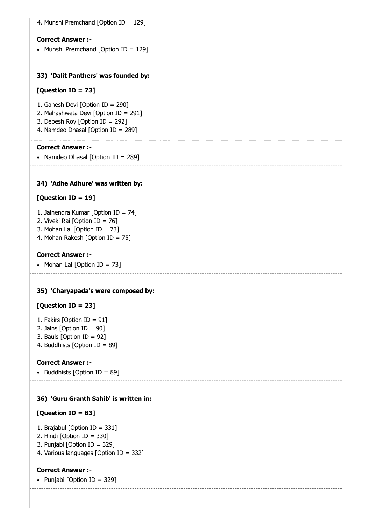| 4. Munshi Premchand [Option ID = 129]                                                                                                             |
|---------------------------------------------------------------------------------------------------------------------------------------------------|
| <b>Correct Answer :-</b><br>• Munshi Premchand [Option ID = 129]                                                                                  |
| 33) 'Dalit Panthers' was founded by:                                                                                                              |
| [Question ID = 73]                                                                                                                                |
| 1. Ganesh Devi [Option ID = 290]<br>2. Mahashweta Devi [Option ID = 291]<br>3. Debesh Roy [Option ID = 292]<br>4. Namdeo Dhasal [Option ID = 289] |
| <b>Correct Answer:-</b><br>• Namdeo Dhasal [Option ID = 289]                                                                                      |
| 34) 'Adhe Adhure' was written by:                                                                                                                 |
| [Question ID = 19]                                                                                                                                |
| 1. Jainendra Kumar [Option ID = 74]<br>2. Viveki Rai [Option ID = 76]<br>3. Mohan Lal [Option ID = 73]<br>4. Mohan Rakesh [Option ID = 75]        |
| <b>Correct Answer :-</b><br>• Mohan Lal [Option ID = 73]                                                                                          |
| 35) 'Charyapada's were composed by:                                                                                                               |
| [Question ID = 23]                                                                                                                                |
| 1. Fakirs [Option ID = $91$ ]<br>2. Jains [Option ID = $90$ ]<br>3. Bauls [Option ID = $92$ ]<br>4. Buddhists [Option ID = 89]                    |
| <b>Correct Answer :-</b><br>Buddhists [Option ID = 89]<br>$\bullet$                                                                               |
| 36) 'Guru Granth Sahib' is written in:                                                                                                            |
| [Question ID = 83]                                                                                                                                |
| 1. Brajabul [Option ID = 331]<br>2. Hindi [Option ID = 330]                                                                                       |

- 3. Punjabi [Option ID = 329]
- 4. Various languages [Option ID = 332]

• Punjabi [Option  $ID = 329$ ]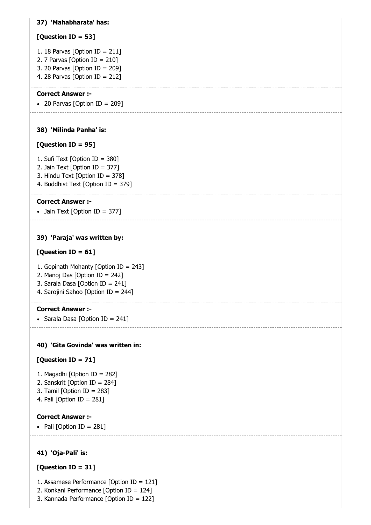# 37) 'Mahabharata' has:

# [Question ID = 53]

- 1. 18 Parvas [Option ID = 211]
- 2. 7 Parvas [Option ID =  $210$ ]
- 3. 20 Parvas [Option ID =  $209$ ]
- 4. 28 Parvas [Option ID = 212]

# Correct Answer :-

• 20 Parvas [Option ID = 209]

# 38) 'Milinda Panha' is:

# [Question ID = 95]

- 1. Sufi Text [Option ID = 380]
- 2. Jain Text [Option ID = 377]
- 3. Hindu Text [Option ID = 378]
- 4. Buddhist Text [Option ID = 379]

# Correct Answer :-

• Jain Text [Option ID = 377]

# 39) 'Paraja' was written by:

# $[Question ID = 61]$

- 1. Gopinath Mohanty [Option ID = 243]
- 2. Manoj Das [Option ID = 242]
- 3. Sarala Dasa [Option ID = 241]
- 4. Sarojini Sahoo [Option ID = 244]

# Correct Answer :-

• Sarala Dasa [Option ID = 241]

# 40) 'Gita Govinda' was written in:

# [Question ID = 71]

- 1. Magadhi [Option ID = 282]
- 2. Sanskrit [Option ID = 284]
- 3. Tamil [Option ID = 283]
- 4. Pali [Option ID = 281]

# Correct Answer :-

 $\bullet$  Pali [Option ID = 281]

# 41) 'Oja-Pali' is:

# [Question ID = 31]

- 1. Assamese Performance [Option ID = 121]
- 2. Konkani Performance [Option ID = 124]
- 3. Kannada Performance [Option ID = 122]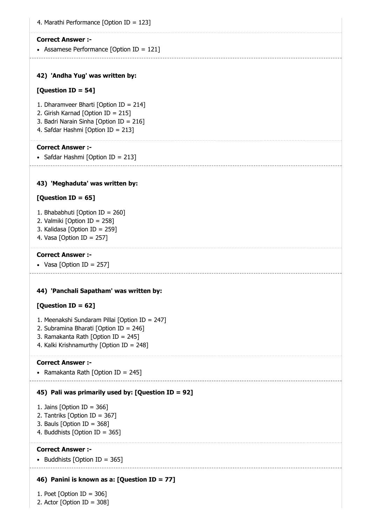4. Marathi Performance [Option ID = 123]

#### Correct Answer :-

Assamese Performance [Option ID = 121]

# 42) 'Andha Yug' was written by:

# [Question ID = 54]

- 1. Dharamveer Bharti [Option ID = 214]
- 2. Girish Karnad [Option ID = 215]
- 3. Badri Narain Sinha [Option ID = 216]
- 4. Safdar Hashmi [Option ID = 213]

# Correct Answer :-

• Safdar Hashmi [Option ID = 213]

# 43) 'Meghaduta' was written by:

# $[Question ID = 65]$

- 1. Bhababhuti [Option ID = 260]
- 2. Valmiki [Option ID = 258]
- 3. Kalidasa [Option ID = 259]
- 4. Vasa [Option ID = 257]

### Correct Answer :-

• Vasa [Option ID =  $257$ ]

#### 44) 'Panchali Sapatham' was written by:

# $[Question ID = 62]$

- 1. Meenakshi Sundaram Pillai [Option ID = 247]
- 2. Subramina Bharati [Option ID = 246]
- 3. Ramakanta Rath [Option ID = 245]
- 4. Kalki Krishnamurthy [Option ID = 248]

#### Correct Answer :-

• Ramakanta Rath  $\delta$  Toption ID = 2451

# 45) Pali was primarily used by: [Question ID = 92]

- 1. Jains [Option ID = 366]
- 2. Tantriks [Option ID = 367]
- 3. Bauls [Option ID = 368]
- 4. Buddhists [Option ID = 365]

# Correct Answer :-

• Buddhists [Option ID = 365]

# 46) Panini is known as a: [Question ID = 77]

1. Poet [Option ID = 306] 2. Actor [Option ID = 308]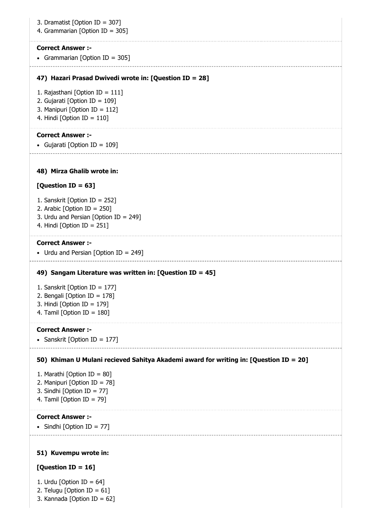| 3. Dramatist [Option ID = 307]<br>4. Grammarian [Option ID = 305]                                                                         |
|-------------------------------------------------------------------------------------------------------------------------------------------|
| <b>Correct Answer :-</b><br>• Grammarian [Option ID = 305]                                                                                |
| 47) Hazari Prasad Dwivedi wrote in: [Question ID = 28]                                                                                    |
| 1. Rajasthani [Option ID = 111]<br>2. Gujarati [Option ID = 109]<br>3. Manipuri [Option ID = 112]<br>4. Hindi [Option ID = $110$ ]        |
| <b>Correct Answer :-</b><br>• Gujarati [Option ID = 109]                                                                                  |
| 48) Mirza Ghalib wrote in:                                                                                                                |
| [Question ID = 63]                                                                                                                        |
| 1. Sanskrit [Option ID = 252]<br>2. Arabic [Option ID = $250$ ]<br>3. Urdu and Persian [Option ID = 249]<br>4. Hindi [Option ID = $251$ ] |
| <b>Correct Answer :-</b><br>• Urdu and Persian [Option ID = 249]                                                                          |
| 49) Sangam Literature was written in: [Question ID = 45]                                                                                  |
| 1. Sanskrit [Option ID = 177]<br>2. Bengali [Option ID = $178$ ]<br>3. Hindi [Option ID = $179$ ]<br>4. Tamil [Option ID = $180$ ]        |
| <b>Correct Answer :-</b><br>• Sanskrit [Option ID = 177]                                                                                  |
| 50) Khiman U Mulani recieved Sahitya Akademi award for writing in: [Question ID = 20]                                                     |
| 1. Marathi [Option ID = 80]<br>2. Manipuri [Option ID = 78]<br>3. Sindhi [Option ID = 77]<br>4. Tamil [Option ID = $79$ ]                 |
| <b>Correct Answer :-</b><br>• Sindhi [Option ID = 77]                                                                                     |
| 51) Kuvempu wrote in:                                                                                                                     |
| [Question ID = $16$ ]                                                                                                                     |
| 1. Urdu [Option ID = $64$ ]                                                                                                               |

2. Telugu [Option ID =  $61$ ]

3. Kannada [Option ID = 62]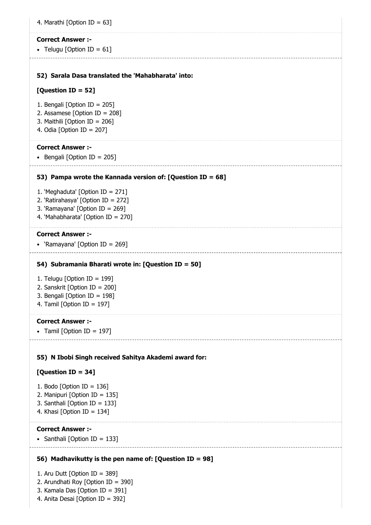| 4. Marathi [Option ID = 63]                                           |  |
|-----------------------------------------------------------------------|--|
| <b>Correct Answer :-</b>                                              |  |
| • Telugu [Option ID = $61$ ]                                          |  |
| 52) Sarala Dasa translated the 'Mahabharata' into:                    |  |
| [Question ID = 52]                                                    |  |
| 1. Bengali [Option ID = 205]                                          |  |
| 2. Assamese [Option ID = 208]<br>3. Maithili [Option ID = 206]        |  |
| 4. Odia [Option ID = $207$ ]                                          |  |
| <b>Correct Answer:-</b>                                               |  |
| • Bengali [Option ID = 205]                                           |  |
| 53) Pampa wrote the Kannada version of: [Question ID = 68]            |  |
| 1. 'Meghaduta' [Option ID = 271]                                      |  |
| 2. 'Ratirahasya' [Option ID = 272]                                    |  |
| 3. 'Ramayana' [Option ID = 269]<br>4. 'Mahabharata' [Option ID = 270] |  |
| <b>Correct Answer :-</b>                                              |  |
| • 'Ramayana' [Option ID = 269]                                        |  |
|                                                                       |  |
| 54) Subramania Bharati wrote in: [Question ID = 50]                   |  |
| 1. Telugu [Option ID = $199$ ]                                        |  |
| 2. Sanskrit [Option ID = 200]<br>3. Bengali [Option ID = 198]         |  |
| 4. Tamil [Option ID = 197]                                            |  |
| <b>Correct Answer :-</b>                                              |  |
| • Tamil [Option ID = 197]                                             |  |
| 55) N Ibobi Singh received Sahitya Akademi award for:                 |  |
| [Question ID = 34]                                                    |  |
| 1. Bodo [Option ID = $136$ ]                                          |  |
| 2. Manipuri [Option ID = 135]                                         |  |
| 3. Santhali [Option ID = 133]<br>4. Khasi [Option ID = $134$ ]        |  |
|                                                                       |  |
| <b>Correct Answer :-</b>                                              |  |
| • Santhali [Option ID = 133]                                          |  |
| 56) Madhavikutty is the pen name of: [Question ID = 98]               |  |
| 1. Aru Dutt [Option ID = 389]                                         |  |

- 2. Arundhati Roy [Option ID = 390]
- 3. Kamala Das [Option ID = 391]
- 4. Anita Desai [Option ID = 392]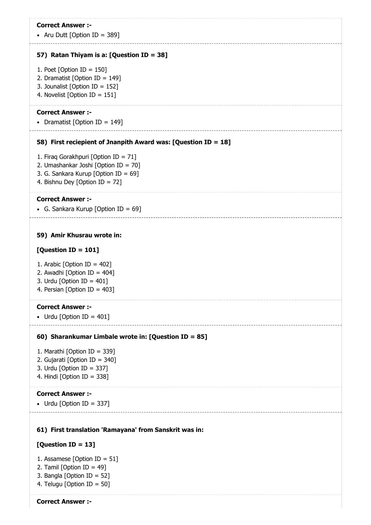• Aru Dutt [Option ID = 389]

#### 57) Ratan Thiyam is a: [Question ID = 38]

- 1. Poet [Option ID = 150]
- 2. Dramatist [Option ID = 149]
- 3. Jounalist [Option ID = 152]
- 4. Novelist [Option ID = 151]

### Correct Answer :-

• Dramatist [Option ID = 149]

#### 58) First reciepient of Jnanpith Award was: [Question ID = 18]

- 1. Firaq Gorakhpuri [Option ID = 71]
- 2. Umashankar Joshi [Option ID = 70]
- 3. G. Sankara Kurup [Option ID = 69]
- 4. Bishnu Dey [Option ID = 72]

#### Correct Answer :-

• G. Sankara Kurup [Option ID = 69]

#### 59) Amir Khusrau wrote in:

#### $[Question ID = 101]$

- 1. Arabic [Option ID = 402]
- 2. Awadhi [Option ID = 404]
- 3. Urdu [Option ID =  $401$ ]
- 4. Persian [Option ID = 403]

#### Correct Answer :-

• Urdu [Option ID =  $401$ ]

#### 60) Sharankumar Limbale wrote in: [Question ID = 85]

- 1. Marathi [Option ID = 339]
- 2. Gujarati [Option ID = 340]
- 3. Urdu [Option ID = 337]
- 4. Hindi [Option ID = 338]

#### Correct Answer :-

```
• Urdu [Option ID = 337]
```
#### 61) First translation 'Ramayana' from Sanskrit was in:

#### [Question ID = 13]

- 1. Assamese [Option ID = 51]
- 2. Tamil [Option ID = 49]
- 3. Bangla [Option ID = 52]
- 4. Telugu [Option ID = 50]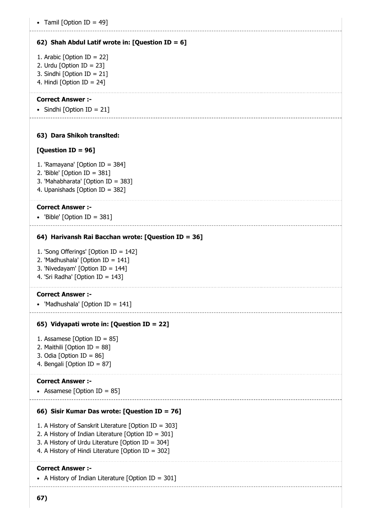# 62) Shah Abdul Latif wrote in: [Question ID = 6]

- 1. Arabic [Option ID = 22]
- 2. Urdu [Option ID = 23]
- 3. Sindhi [Option ID = 21]
- 4. Hindi [Option ID = 24]

# Correct Answer :-

• Sindhi [Option ID = 21]

# 63) Dara Shikoh translted:

# [Question ID = 96]

- 1. 'Ramayana' [Option ID = 384]
- 2. 'Bible' [Option ID = 381]
- 3. 'Mahabharata' [Option ID = 383]
- 4. Upanishads [Option ID = 382]

### Correct Answer :-

'Bible' [Option ID = 381]

### 64) Harivansh Rai Bacchan wrote: [Question ID = 36]

- 1. 'Song Offerings' [Option ID = 142]
- 2. 'Madhushala' [Option ID = 141]
- 3. 'Nivedayam' [Option ID = 144]
- 4. 'Sri Radha' [Option ID = 143]

#### Correct Answer :-

• 'Madhushala'  $[Option ID = 141]$ 

# 65) Vidyapati wrote in: [Question ID = 22]

- 1. Assamese [Option ID = 85]
- 2. Maithili [Option ID = 88]
- 3. Odia  $[Option ID = 86]$
- 4. Bengali [Option ID = 87]

# Correct Answer :-

• Assamese [Option ID = 85]

# 66) Sisir Kumar Das wrote: [Question ID = 76]

- 1. A History of Sanskrit Literature [Option ID = 303]
- 2. A History of Indian Literature [Option ID = 301]
- 3. A History of Urdu Literature [Option ID = 304]
- 4. A History of Hindi Literature [Option ID = 302]

# Correct Answer :-

• A History of Indian Literature [Option ID = 301]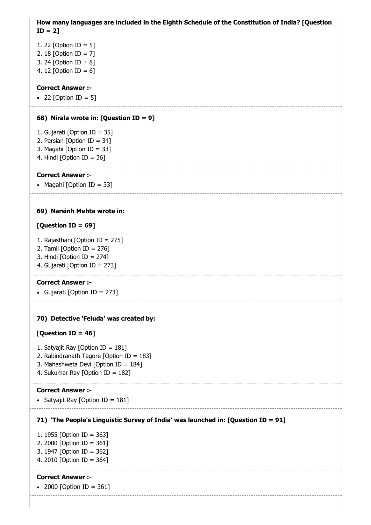How many languages are included in the Eighth Schedule of the Constitution of India? [Question  $ID = 2$ 

- 1. 22 [Option ID = 5] 2. 18 [Option ID = 7]
- 3. 24 [Option ID = 8]
- 4. 12 [Option ID = 6]

# Correct Answer :-

• 22 [Option ID = 5]

# 68) Nirala wrote in: [Question ID = 9]

- 1. Gujarati [Option ID = 35]
- 2. Persian [Option ID = 34]
- 3. Magahi [Option ID = 33]
- 4. Hindi [Option ID = 36]

### Correct Answer :-

• Magahi [Option ID = 33]

# 69) Narsinh Mehta wrote in:

# [Question ID = 69]

- 1. Rajasthani [Option ID = 275]
- 2. Tamil [Option ID =  $276$ ]
- 3. Hindi [Option ID = 274]
- 4. Gujarati [Option ID = 273]

# Correct Answer :-

Gujarati [Option ID = 273]

# 70) Detective 'Feluda' was created by:

# [Question ID = 46]

- 1. Satyajit Ray [Option ID = 181]
- 2. Rabindranath Tagore [Option ID = 183]
- 3. Mahashweta Devi [Option ID = 184]
- 4. Sukumar Ray [Option ID = 182]

# Correct Answer :-

• Satyajit Ray [Option ID =  $181$ ]

# 71) 'The People's Linguistic Survey of India' was launched in: [Question ID = 91]

- 1. 1955 [Option ID = 363]
- 2. 2000 [Option ID = 361]
- 3. 1947 [Option ID = 362]
- 4. 2010 [Option ID = 364]

# Correct Answer :-

• 2000 [Option ID = 361]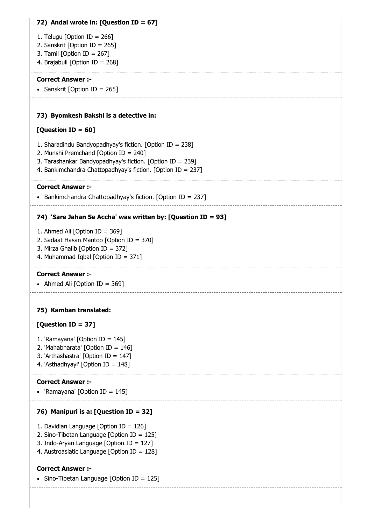# 72) Andal wrote in: [Question ID = 67]

- 1. Telugu [Option ID = 266]
- 2. Sanskrit [Option ID = 265]
- 3. Tamil [Option ID = 267]
- 4. Brajabuli [Option ID = 268]

# Correct Answer :-

• Sanskrit [Option ID = 265]

### 73) Byomkesh Bakshi is a detective in:

### [Question ID = 60]

- 1. Sharadindu Bandyopadhyay's fiction. [Option ID = 238]
- 2. Munshi Premchand [Option ID = 240]
- 3. Tarashankar Bandyopadhyay's fiction. [Option ID = 239]
- 4. Bankimchandra Chattopadhyay's fiction. [Option ID = 237]

### Correct Answer :-

• Bankimchandra Chattopadhyay's fiction. [Option ID = 237]

# 74) 'Sare Jahan Se Accha' was written by: [Question ID = 93]

- 1. Ahmed Ali [Option ID = 369]
- 2. Sadaat Hasan Mantoo [Option ID = 370]
- 3. Mirza Ghalib [Option ID = 372]
- 4. Muhammad Iqbal [Option ID = 371]

# Correct Answer :-

• Ahmed Ali [Option ID = 369]

# 75) Kamban translated:

# [Question ID = 37]

- 1. 'Ramayana' [Option ID = 145]
- 2. 'Mahabharata' [Option ID = 146]
- 3. 'Arthashastra' [Option ID = 147]
- 4. 'Asthadhyayi' [Option ID = 148]

#### Correct Answer :-

'Ramayana' [Option ID = 145]

# 76) Manipuri is a: [Question ID = 32]

- 1. Davidian Language [Option ID = 126]
- 2. Sino-Tibetan Language [Option ID = 125]
- 3. Indo-Aryan Language [Option ID = 127]
- 4. Austroasiatic Language [Option ID = 128]

# Correct Answer :-

• Sino-Tibetan Language [Option ID = 125]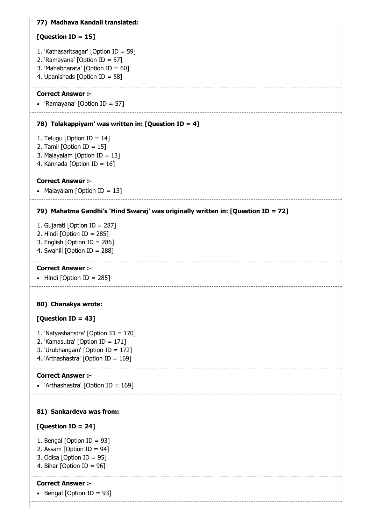# 77) Madhava Kandali translated:

# [Question ID = 15]

- 1. 'Kathasaritsagar' [Option ID = 59]
- 2. 'Ramayana' [Option ID = 57]
- 3. 'Mahabharata' [Option ID = 60]
- 4. Upanishads [Option ID = 58]

# Correct Answer :-

'Ramayana' [Option ID = 57]

# 78) Tolakappiyam' was written in: [Question ID = 4]

- 1. Telugu [Option ID = 14]
- 2. Tamil [Option ID =  $15$ ]
- 3. Malayalam [Option ID = 13]
- 4. Kannada [Option ID = 16]

# Correct Answer :-

• Malayalam [Option ID = 13]

# 79) Mahatma Gandhi's 'Hind Swaraj' was originally written in: [Question ID = 72]

- 1. Gujarati [Option ID = 287]
- 2. Hindi [Option ID = 285]
- 3. English [Option ID = 286]
- 4. Swahili [Option ID = 288]

# Correct Answer :-

 $\bullet$  Hindi [Option ID = 285]

# 80) Chanakya wrote:

# [Question ID = 43]

- 1. 'Natyashahstra' [Option ID = 170]
- 2. 'Kamasutra' [Option ID = 171]
- 3. 'Urubhangam' [Option ID = 172]
- 4. 'Arthashastra' [Option ID = 169]

# Correct Answer :-

'Arthashastra' [Option ID = 169]

# 81) Sankardeva was from:

# [Question ID = 24]

- 1. Bengal [Option ID = 93]
- 2. Assam [Option ID = 94]
- 3. Odisa [Option ID = 95]
- 4. Bihar [Option ID = 96]

# Correct Answer :-

• Bengal [Option ID = 93]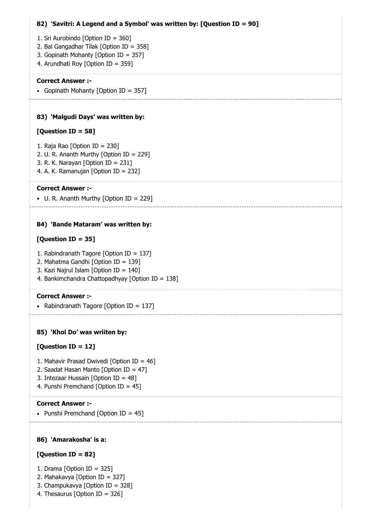# 82) 'Savitri: A Legend and a Symbol' was written by: [Question ID = 90] 83) 'Malgudi Days' was written by: 84) 'Bande Mataram' was written by: 1. Sri Aurobindo [Option ID = 360] 2. Bal Gangadhar Tilak [Option ID = 358] 3. Gopinath Mohanty [Option ID = 357] 4. Arundhati Roy [Option ID = 359] Correct Answer :- • Gopinath Mohanty [Option ID = 357] [Question ID = 58] 1. Raja Rao [Option ID = 230] 2. U. R. Ananth Murthy [Option ID = 229] 3. R. K. Narayan [Option ID = 231] 4. A. K. Ramanujan [Option ID = 232] Correct Answer :- U. R. Ananth Murthy [Option ID = 229] [Question ID = 35] 1. Rabindranath Tagore [Option ID = 137] 2. Mahatma Gandhi [Option ID = 139] 3. Kazi Najrul Islam [Option ID = 140]

4. Bankimchandra Chattopadhyay [Option ID = 138]

# Correct Answer :-

• Rabindranath Tagore [Option ID = 137]

# 85) 'Khol Do' was wriiten by:

# [Question ID = 12]

- 1. Mahavir Prasad Dwivedi [Option ID = 46]
- 2. Saadat Hasan Manto [Option ID = 47]
- 3. Intezaar Hussain [Option ID = 48]
- 4. Punshi Premchand [Option ID = 45]

# Correct Answer :-

• Punshi Premchand [Option ID =  $45$ ]

# 86) 'Amarakosha' is a:

# [Question ID = 82]

- 1. Drama [Option ID = 325]
- 2. Mahakavya [Option ID = 327]
- 3. Champukavya [Option ID = 328]
- 4. Thesaurus [Option ID = 326]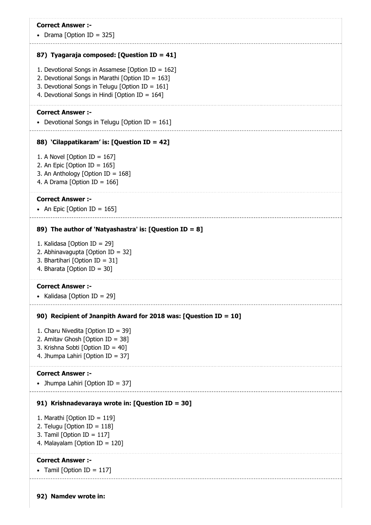|  |  | Drama [Option ID = $325$ ] |  |  |
|--|--|----------------------------|--|--|
|--|--|----------------------------|--|--|

#### 87) Tyagaraja composed: [Question ID = 41]

- 1. Devotional Songs in Assamese [Option ID = 162]
- 2. Devotional Songs in Marathi [Option ID = 163]
- 3. Devotional Songs in Telugu [Option ID = 161]
- 4. Devotional Songs in Hindi [Option ID = 164]

### Correct Answer :-

• Devotional Songs in Telugu [Option ID =  $161$ ]

#### 88) 'Cilappatikaram' is: [Question ID = 42]

- 1. A Novel [Option ID =  $167$ ]
- 2. An Epic [Option ID =  $165$ ]
- 3. An Anthology [Option ID = 168]
- 4. A Drama [Option ID = 166]

#### Correct Answer :-

• An Epic [Option ID =  $165$ ]

#### 89) The author of 'Natyashastra' is: [Question ID = 8]

- 1. Kalidasa [Option ID = 29]
- 2. Abhinavagupta [Option ID = 32]
- 3. Bhartihari [Option ID = 31]
- 4. Bharata [Option ID = 30]

#### Correct Answer :-

• Kalidasa [Option ID = 29]

#### 90) Recipient of Jnanpith Award for 2018 was: [Question ID = 10]

- 1. Charu Nivedita [Option ID = 39]
- 2. Amitav Ghosh [Option ID = 38]
- 3. Krishna Sobti [Option ID = 40]
- 4. Jhumpa Lahiri [Option ID = 37]

#### Correct Answer :-

# • Jhumpa Lahiri [Option ID = 37]

91) Krishnadevaraya wrote in: [Question ID = 30]

# 1. Marathi [Option ID = 119]

- 2. Telugu [Option ID = 118]
- 3. Tamil [Option ID = 117]
- 4. Malayalam [Option ID = 120]

# Correct Answer :-

# • Tamil [Option ID =  $117$ ]

92) Namdev wrote in: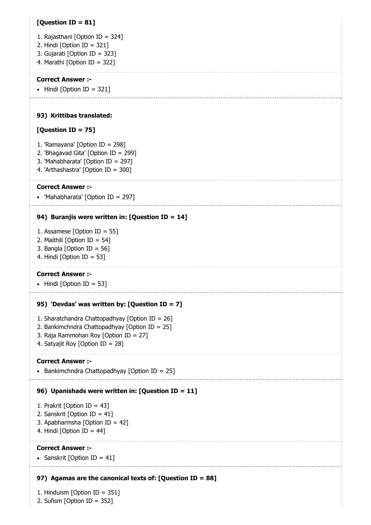# [Question ID = 81]

- 1. Rajasthani [Option ID = 324]
- 2. Hindi [Option ID = 321]
- 3. Gujarati [Option ID = 323]
- 4. Marathi [Option ID = 322]

# Correct Answer :-

 $\bullet$  Hindi [Option ID = 321]

# 93) Krittibas translated:

# [Question ID = 75]

- 1. 'Ramayana' [Option ID = 298]
- 2. 'Bhagavad Gita' [Option ID = 299]
- 3. 'Mahabharata' [Option ID = 297]
- 4. 'Arthashastra' [Option ID = 300]

### Correct Answer :-

'Mahabharata' [Option ID = 297]

# 94) Buranjis were written in: [Question ID = 14]

- 1. Assamese [Option ID = 55]
- 2. Maithili [Option ID = 54]
- 3. Bangla [Option ID = 56]
- 4. Hindi [Option ID = 53]

# Correct Answer :-

 $\bullet$  Hindi [Option ID = 53]

# 95) 'Devdas' was written by: [Question ID = 7]

- 1. Sharatchandra Chattopadhyay [Option ID = 26]
- 2. Bankimchndra Chattopadhyay [Option ID = 25]
- 3. Raja Rammohan Roy [Option ID = 27]
- 4. Satyajit Roy [Option ID = 28]

#### Correct Answer :-

• Bankimchndra Chattopadhyay [Option ID =  $25$ ]

# 96) Upanishads were written in: [Question ID = 11]

1. Prakrit [Option ID = 43]

- 2. Sanskrit [Option ID = 41]
- 3. Apabharmsha [Option ID = 42]
- 4. Hindi [Option ID = 44]

# Correct Answer :-

• Sanskrit [Option ID =  $41$ ]

# 97) Agamas are the canonical texts of: [Question ID = 88]

1. Hinduism [Option ID = 351] 2. Sufism [Option ID = 352]